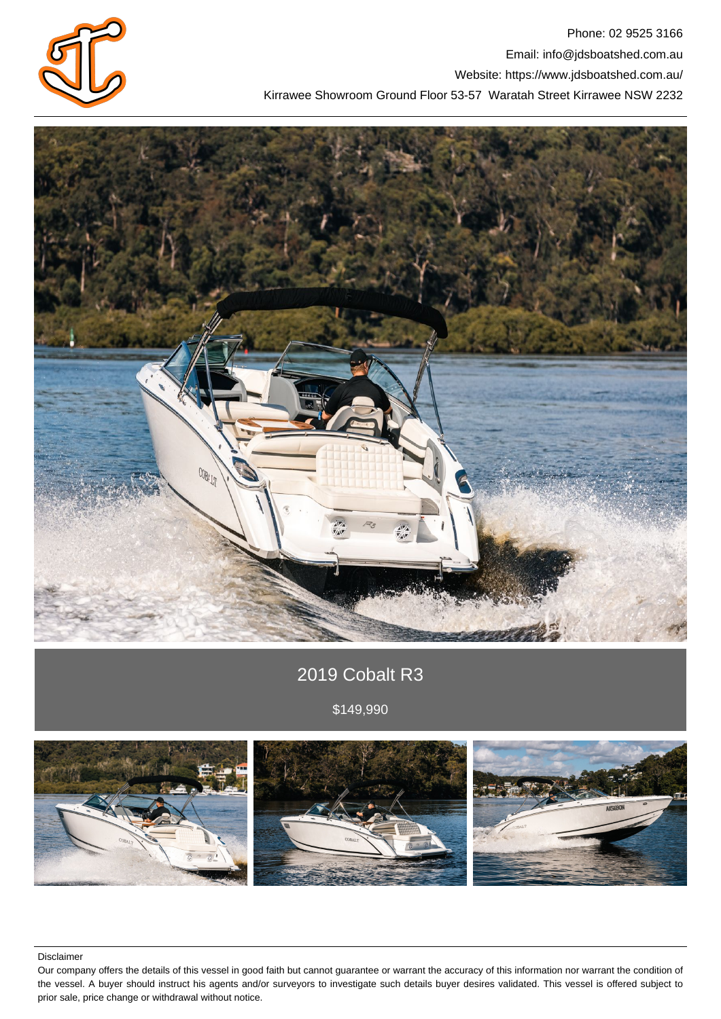

Phone: 02 9525 3166 Email: info@jdsboatshed.com.au Website: https://www.jdsboatshed.com.au/ Kirrawee Showroom Ground Floor 53-57 Waratah Street Kirrawee NSW 2232



# 2019 Cobalt R3

\$149,990



Disclaimer

Our company offers the details of this vessel in good faith but cannot guarantee or warrant the accuracy of this information nor warrant the condition of the vessel. A buyer should instruct his agents and/or surveyors to investigate such details buyer desires validated. This vessel is offered subject to prior sale, price change or withdrawal without notice.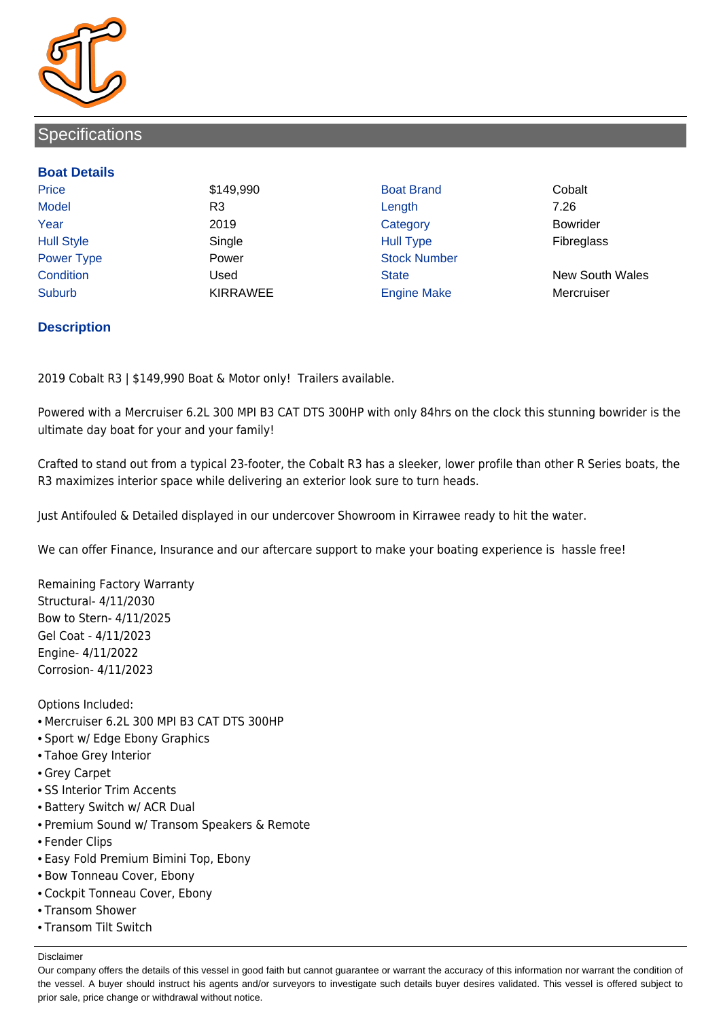

## **Specifications**

#### **Boat Details**

Price **\$149,990 Boat Brand Cobalt** Cobalt Model R3 Length 7.26 Year 2019 Category Bowrider Hull Style Single Hull Type Fibreglass Power Type **Power Power** Power Stock Number Suburb **KIRRAWEE Engine Make Mercruiser** Mercruiser

Condition Used State New South Wales

### **Description**

2019 Cobalt R3 | \$149,990 Boat & Motor only! Trailers available.

Powered with a Mercruiser 6.2L 300 MPI B3 CAT DTS 300HP with only 84hrs on the clock this stunning bowrider is the ultimate day boat for your and your family!

Crafted to stand out from a typical 23-footer, the Cobalt R3 has a sleeker, lower profile than other R Series boats, the R3 maximizes interior space while delivering an exterior look sure to turn heads.

Just Antifouled & Detailed displayed in our undercover Showroom in Kirrawee ready to hit the water.

We can offer Finance, Insurance and our aftercare support to make your boating experience is hassle free!

Remaining Factory Warranty Structural- 4/11/2030 Bow to Stern- 4/11/2025 Gel Coat - 4/11/2023 Engine- 4/11/2022 Corrosion- 4/11/2023

Options Included:

- Mercruiser 6.2L 300 MPI B3 CAT DTS 300HP
- Sport w/ Edge Ebony Graphics
- Tahoe Grey Interior
- Grey Carpet
- SS Interior Trim Accents
- Battery Switch w/ ACR Dual
- Premium Sound w/ Transom Speakers & Remote
- Fender Clips
- Easy Fold Premium Bimini Top, Ebony
- Bow Tonneau Cover, Ebony
- Cockpit Tonneau Cover, Ebony
- Transom Shower
- Transom Tilt Switch

Disclaimer

Our company offers the details of this vessel in good faith but cannot guarantee or warrant the accuracy of this information nor warrant the condition of the vessel. A buyer should instruct his agents and/or surveyors to investigate such details buyer desires validated. This vessel is offered subject to prior sale, price change or withdrawal without notice.